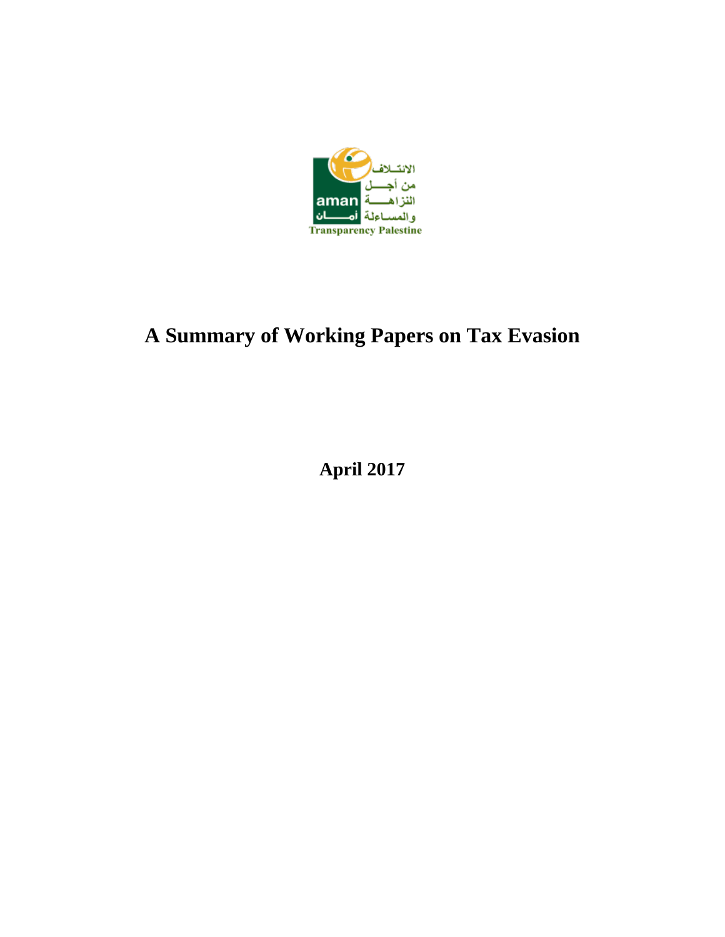

# **A Summary of Working Papers on Tax Evasion**

**April 2017**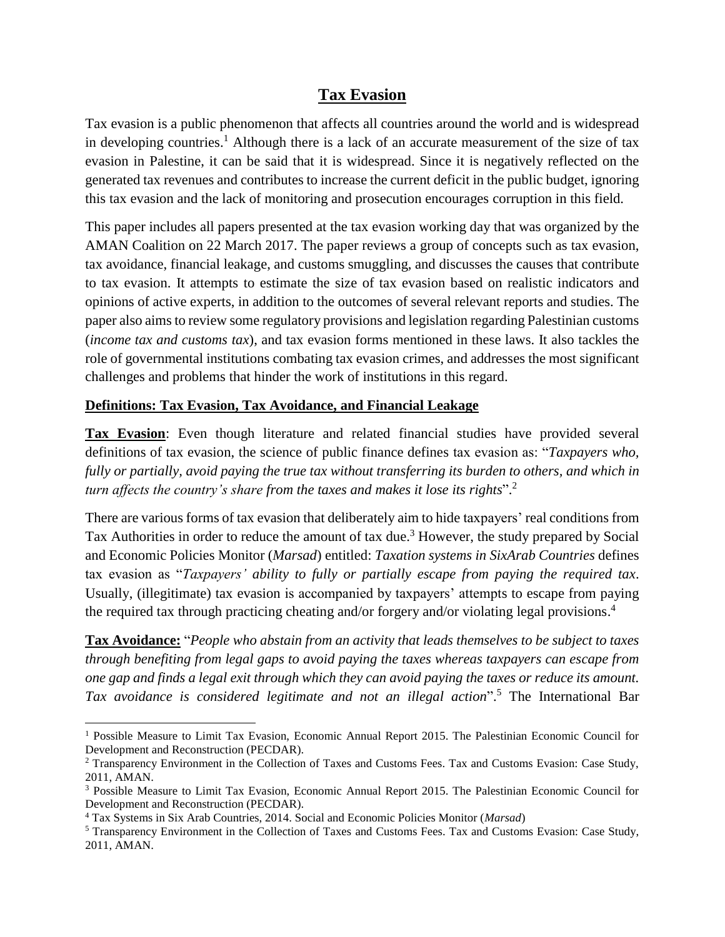## **Tax Evasion**

Tax evasion is a public phenomenon that affects all countries around the world and is widespread in developing countries.<sup>1</sup> Although there is a lack of an accurate measurement of the size of tax evasion in Palestine, it can be said that it is widespread. Since it is negatively reflected on the generated tax revenues and contributes to increase the current deficit in the public budget, ignoring this tax evasion and the lack of monitoring and prosecution encourages corruption in this field.

This paper includes all papers presented at the tax evasion working day that was organized by the AMAN Coalition on 22 March 2017. The paper reviews a group of concepts such as tax evasion, tax avoidance, financial leakage, and customs smuggling, and discusses the causes that contribute to tax evasion. It attempts to estimate the size of tax evasion based on realistic indicators and opinions of active experts, in addition to the outcomes of several relevant reports and studies. The paper also aims to review some regulatory provisions and legislation regarding Palestinian customs (*income tax and customs tax*), and tax evasion forms mentioned in these laws. It also tackles the role of governmental institutions combating tax evasion crimes, and addresses the most significant challenges and problems that hinder the work of institutions in this regard.

## **Definitions: Tax Evasion, Tax Avoidance, and Financial Leakage**

**Tax Evasion**: Even though literature and related financial studies have provided several definitions of tax evasion, the science of public finance defines tax evasion as: "*Taxpayers who, fully or partially, avoid paying the true tax without transferring its burden to others, and which in turn affects the country's share from the taxes and makes it lose its rights*". 2

There are various forms of tax evasion that deliberately aim to hide taxpayers' real conditions from Tax Authorities in order to reduce the amount of tax due.<sup>3</sup> However, the study prepared by Social and Economic Policies Monitor (*Marsad*) entitled: *Taxation systems in SixArab Countries* defines tax evasion as "*Taxpayers' ability to fully or partially escape from paying the required tax*. Usually, (illegitimate) tax evasion is accompanied by taxpayers' attempts to escape from paying the required tax through practicing cheating and/or forgery and/or violating legal provisions. 4

**Tax Avoidance:** "*People who abstain from an activity that leads themselves to be subject to taxes through benefiting from legal gaps to avoid paying the taxes whereas taxpayers can escape from one gap and finds a legal exit through which they can avoid paying the taxes or reduce its amount. Tax avoidance is considered legitimate and not an illegal action*". <sup>5</sup> The International Bar

 $\overline{\phantom{a}}$ 

<sup>&</sup>lt;sup>1</sup> Possible Measure to Limit Tax Evasion, Economic Annual Report 2015. The Palestinian Economic Council for Development and Reconstruction (PECDAR).

<sup>2</sup> Transparency Environment in the Collection of Taxes and Customs Fees. Tax and Customs Evasion: Case Study, 2011, AMAN.

<sup>3</sup> Possible Measure to Limit Tax Evasion, Economic Annual Report 2015. The Palestinian Economic Council for Development and Reconstruction (PECDAR).

<sup>4</sup> Tax Systems in Six Arab Countries, 2014. Social and Economic Policies Monitor (*Marsad*)

<sup>5</sup> Transparency Environment in the Collection of Taxes and Customs Fees. Tax and Customs Evasion: Case Study, 2011, AMAN.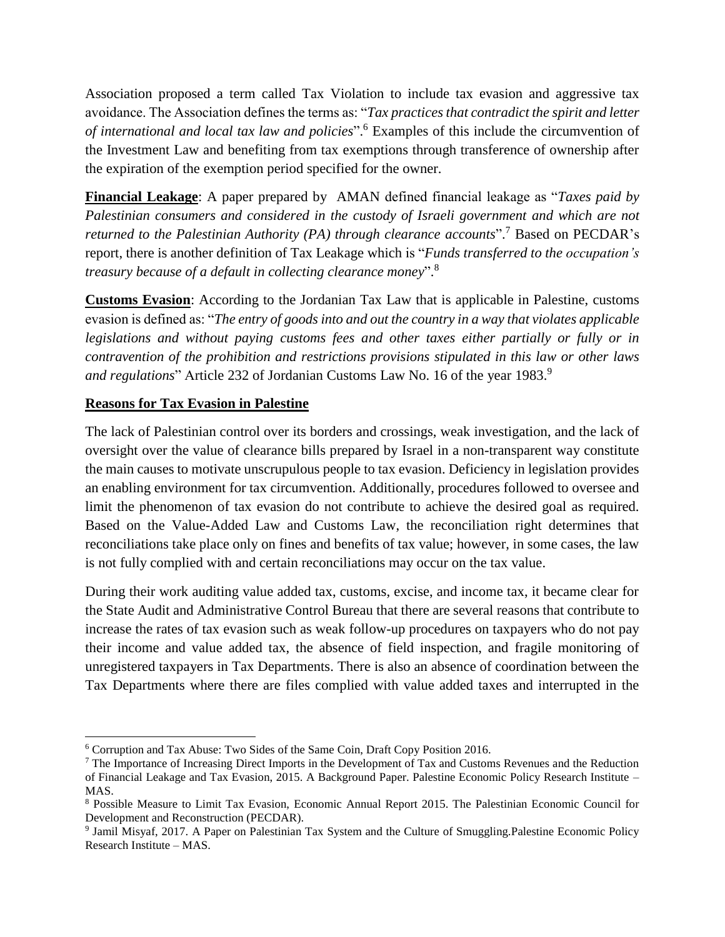Association proposed a term called Tax Violation to include tax evasion and aggressive tax avoidance. The Association defines the terms as: "*Tax practices that contradict the spirit and letter of international and local tax law and policies*". <sup>6</sup> Examples of this include the circumvention of the Investment Law and benefiting from tax exemptions through transference of ownership after the expiration of the exemption period specified for the owner.

**Financial Leakage**: A paper prepared by AMAN defined financial leakage as "*Taxes paid by Palestinian consumers and considered in the custody of Israeli government and which are not returned to the Palestinian Authority (PA) through clearance accounts*". <sup>7</sup> Based on PECDAR's report, there is another definition of Tax Leakage which is "*Funds transferred to the occupation's treasury because of a default in collecting clearance money*". 8

**Customs Evasion**: According to the Jordanian Tax Law that is applicable in Palestine, customs evasion is defined as: "*The entry of goods into and out the country in a way that violates applicable legislations and without paying customs fees and other taxes either partially or fully or in contravention of the prohibition and restrictions provisions stipulated in this law or other laws and regulations*" Article 232 of Jordanian Customs Law No. 16 of the year 1983. 9

### **Reasons for Tax Evasion in Palestine**

The lack of Palestinian control over its borders and crossings, weak investigation, and the lack of oversight over the value of clearance bills prepared by Israel in a non-transparent way constitute the main causes to motivate unscrupulous people to tax evasion. Deficiency in legislation provides an enabling environment for tax circumvention. Additionally, procedures followed to oversee and limit the phenomenon of tax evasion do not contribute to achieve the desired goal as required. Based on the Value-Added Law and Customs Law, the reconciliation right determines that reconciliations take place only on fines and benefits of tax value; however, in some cases, the law is not fully complied with and certain reconciliations may occur on the tax value.

During their work auditing value added tax, customs, excise, and income tax, it became clear for the State Audit and Administrative Control Bureau that there are several reasons that contribute to increase the rates of tax evasion such as weak follow-up procedures on taxpayers who do not pay their income and value added tax, the absence of field inspection, and fragile monitoring of unregistered taxpayers in Tax Departments. There is also an absence of coordination between the Tax Departments where there are files complied with value added taxes and interrupted in the

 $\overline{a}$ <sup>6</sup> Corruption and Tax Abuse: Two Sides of the Same Coin, Draft Copy Position 2016.

<sup>7</sup> The Importance of Increasing Direct Imports in the Development of Tax and Customs Revenues and the Reduction of Financial Leakage and Tax Evasion, 2015. A Background Paper. Palestine Economic Policy Research Institute – MAS.

<sup>8</sup> Possible Measure to Limit Tax Evasion, Economic Annual Report 2015. The Palestinian Economic Council for Development and Reconstruction (PECDAR).

<sup>9</sup> Jamil Misyaf, 2017. A Paper on Palestinian Tax System and the Culture of Smuggling.Palestine Economic Policy Research Institute – MAS.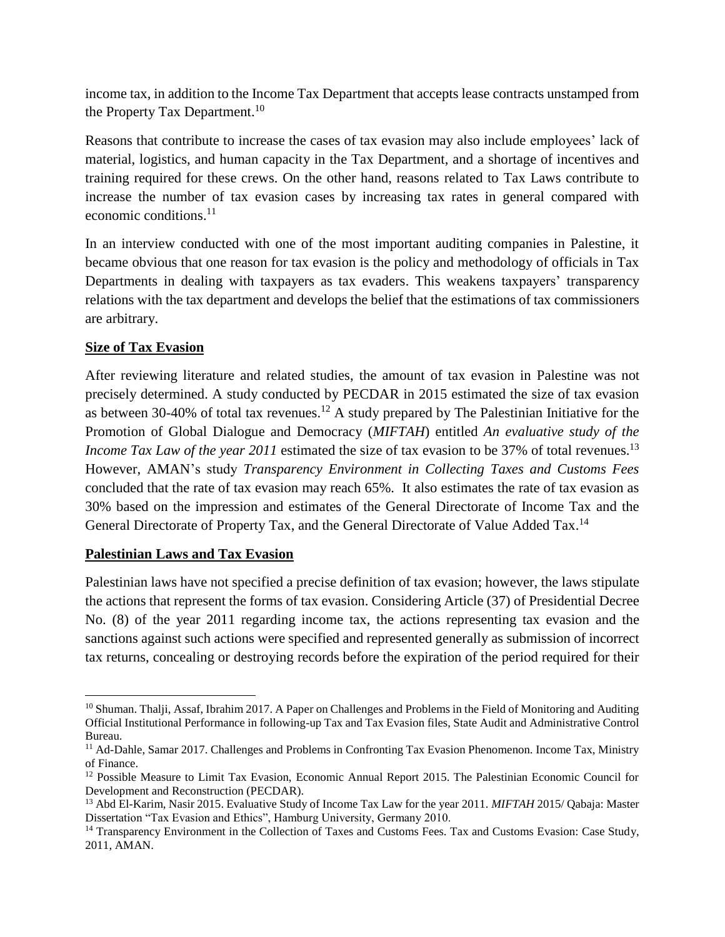income tax, in addition to the Income Tax Department that accepts lease contracts unstamped from the Property Tax Department.<sup>10</sup>

Reasons that contribute to increase the cases of tax evasion may also include employees' lack of material, logistics, and human capacity in the Tax Department, and a shortage of incentives and training required for these crews. On the other hand, reasons related to Tax Laws contribute to increase the number of tax evasion cases by increasing tax rates in general compared with economic conditions. 11

In an interview conducted with one of the most important auditing companies in Palestine, it became obvious that one reason for tax evasion is the policy and methodology of officials in Tax Departments in dealing with taxpayers as tax evaders. This weakens taxpayers' transparency relations with the tax department and develops the belief that the estimations of tax commissioners are arbitrary.

## **Size of Tax Evasion**

After reviewing literature and related studies, the amount of tax evasion in Palestine was not precisely determined. A study conducted by PECDAR in 2015 estimated the size of tax evasion as between 30-40% of total tax revenues.<sup>12</sup> A study prepared by The Palestinian Initiative for the Promotion of Global Dialogue and Democracy (*MIFTAH*) entitled *An evaluative study of the Income Tax Law of the year 2011* estimated the size of tax evasion to be 37% of total revenues.<sup>13</sup> However, AMAN's study *Transparency Environment in Collecting Taxes and Customs Fees* concluded that the rate of tax evasion may reach 65%. It also estimates the rate of tax evasion as 30% based on the impression and estimates of the General Directorate of Income Tax and the General Directorate of Property Tax, and the General Directorate of Value Added Tax.<sup>14</sup>

### **Palestinian Laws and Tax Evasion**

Palestinian laws have not specified a precise definition of tax evasion; however, the laws stipulate the actions that represent the forms of tax evasion. Considering Article (37) of Presidential Decree No. (8) of the year 2011 regarding income tax, the actions representing tax evasion and the sanctions against such actions were specified and represented generally as submission of incorrect tax returns, concealing or destroying records before the expiration of the period required for their

 $\overline{\phantom{a}}$ <sup>10</sup> Shuman. Thalji, Assaf, Ibrahim 2017. A Paper on Challenges and Problems in the Field of Monitoring and Auditing Official Institutional Performance in following-up Tax and Tax Evasion files, State Audit and Administrative Control Bureau.

<sup>&</sup>lt;sup>11</sup> Ad-Dahle, Samar 2017. Challenges and Problems in Confronting Tax Evasion Phenomenon. Income Tax, Ministry of Finance.

<sup>&</sup>lt;sup>12</sup> Possible Measure to Limit Tax Evasion, Economic Annual Report 2015. The Palestinian Economic Council for Development and Reconstruction (PECDAR).

<sup>13</sup> Abd El-Karim, Nasir 2015. Evaluative Study of Income Tax Law for the year 2011. *MIFTAH* 2015/ Qabaja: Master Dissertation "Tax Evasion and Ethics", Hamburg University, Germany 2010.

<sup>&</sup>lt;sup>14</sup> Transparency Environment in the Collection of Taxes and Customs Fees. Tax and Customs Evasion: Case Study, 2011, AMAN.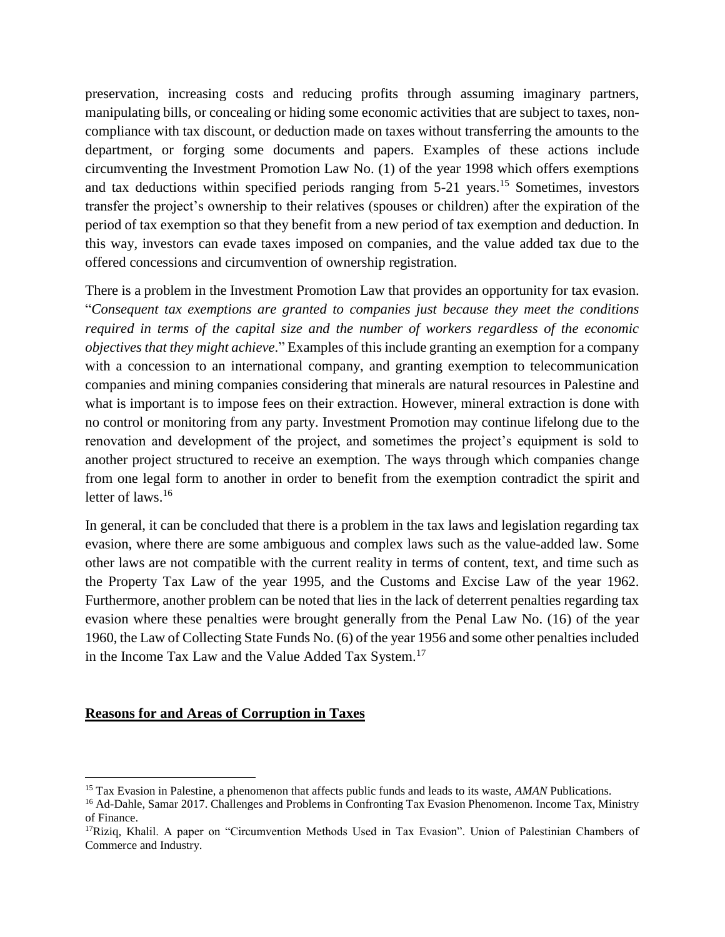preservation, increasing costs and reducing profits through assuming imaginary partners, manipulating bills, or concealing or hiding some economic activities that are subject to taxes, noncompliance with tax discount, or deduction made on taxes without transferring the amounts to the department, or forging some documents and papers. Examples of these actions include circumventing the Investment Promotion Law No. (1) of the year 1998 which offers exemptions and tax deductions within specified periods ranging from 5-21 years. <sup>15</sup> Sometimes, investors transfer the project's ownership to their relatives (spouses or children) after the expiration of the period of tax exemption so that they benefit from a new period of tax exemption and deduction. In this way, investors can evade taxes imposed on companies, and the value added tax due to the offered concessions and circumvention of ownership registration.

There is a problem in the Investment Promotion Law that provides an opportunity for tax evasion. "*Consequent tax exemptions are granted to companies just because they meet the conditions required in terms of the capital size and the number of workers regardless of the economic objectives that they might achieve*." Examples of this include granting an exemption for a company with a concession to an international company, and granting exemption to telecommunication companies and mining companies considering that minerals are natural resources in Palestine and what is important is to impose fees on their extraction. However, mineral extraction is done with no control or monitoring from any party. Investment Promotion may continue lifelong due to the renovation and development of the project, and sometimes the project's equipment is sold to another project structured to receive an exemption. The ways through which companies change from one legal form to another in order to benefit from the exemption contradict the spirit and letter of laws. 16

In general, it can be concluded that there is a problem in the tax laws and legislation regarding tax evasion, where there are some ambiguous and complex laws such as the value-added law. Some other laws are not compatible with the current reality in terms of content, text, and time such as the Property Tax Law of the year 1995, and the Customs and Excise Law of the year 1962. Furthermore, another problem can be noted that lies in the lack of deterrent penalties regarding tax evasion where these penalties were brought generally from the Penal Law No. (16) of the year 1960, the Law of Collecting State Funds No. (6) of the year 1956 and some other penalties included in the Income Tax Law and the Value Added Tax System.<sup>17</sup>

#### **Reasons for and Areas of Corruption in Taxes**

 $\overline{a}$ 

<sup>15</sup> Tax Evasion in Palestine, a phenomenon that affects public funds and leads to its waste, *AMAN* Publications.

<sup>&</sup>lt;sup>16</sup> Ad-Dahle, Samar 2017. Challenges and Problems in Confronting Tax Evasion Phenomenon. Income Tax, Ministry of Finance.

<sup>&</sup>lt;sup>17</sup>Rizig, Khalil. A paper on "Circumvention Methods Used in Tax Evasion". Union of Palestinian Chambers of Commerce and Industry.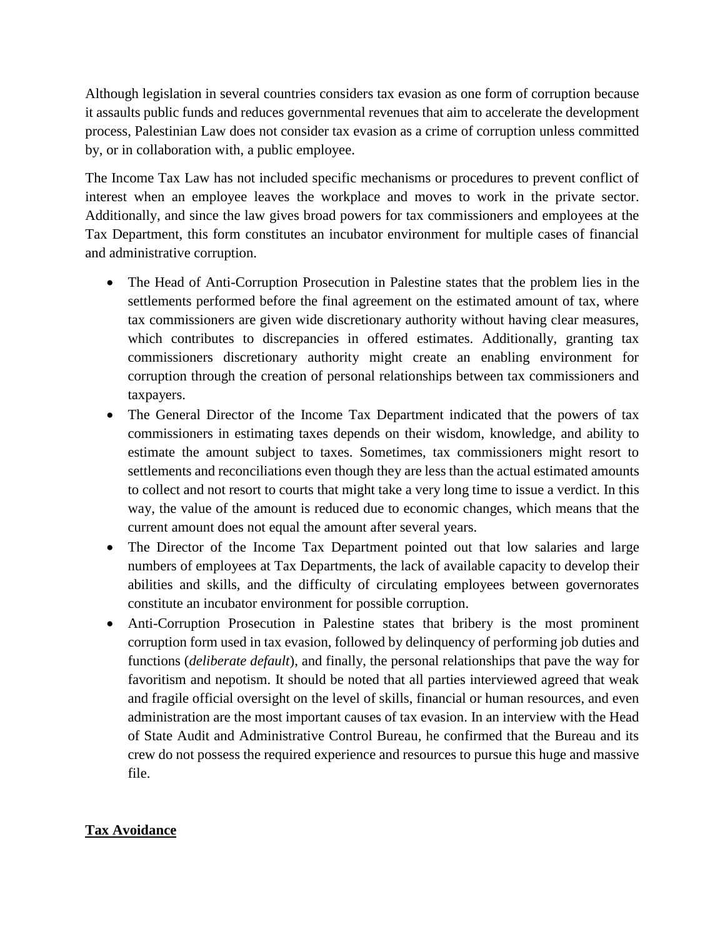Although legislation in several countries considers tax evasion as one form of corruption because it assaults public funds and reduces governmental revenues that aim to accelerate the development process, Palestinian Law does not consider tax evasion as a crime of corruption unless committed by, or in collaboration with, a public employee.

The Income Tax Law has not included specific mechanisms or procedures to prevent conflict of interest when an employee leaves the workplace and moves to work in the private sector. Additionally, and since the law gives broad powers for tax commissioners and employees at the Tax Department, this form constitutes an incubator environment for multiple cases of financial and administrative corruption.

- The Head of Anti-Corruption Prosecution in Palestine states that the problem lies in the settlements performed before the final agreement on the estimated amount of tax, where tax commissioners are given wide discretionary authority without having clear measures, which contributes to discrepancies in offered estimates. Additionally, granting tax commissioners discretionary authority might create an enabling environment for corruption through the creation of personal relationships between tax commissioners and taxpayers.
- The General Director of the Income Tax Department indicated that the powers of tax commissioners in estimating taxes depends on their wisdom, knowledge, and ability to estimate the amount subject to taxes. Sometimes, tax commissioners might resort to settlements and reconciliations even though they are less than the actual estimated amounts to collect and not resort to courts that might take a very long time to issue a verdict. In this way, the value of the amount is reduced due to economic changes, which means that the current amount does not equal the amount after several years.
- The Director of the Income Tax Department pointed out that low salaries and large numbers of employees at Tax Departments, the lack of available capacity to develop their abilities and skills, and the difficulty of circulating employees between governorates constitute an incubator environment for possible corruption.
- Anti-Corruption Prosecution in Palestine states that bribery is the most prominent corruption form used in tax evasion, followed by delinquency of performing job duties and functions (*deliberate default*), and finally, the personal relationships that pave the way for favoritism and nepotism. It should be noted that all parties interviewed agreed that weak and fragile official oversight on the level of skills, financial or human resources, and even administration are the most important causes of tax evasion. In an interview with the Head of State Audit and Administrative Control Bureau, he confirmed that the Bureau and its crew do not possess the required experience and resources to pursue this huge and massive file.

## **Tax Avoidance**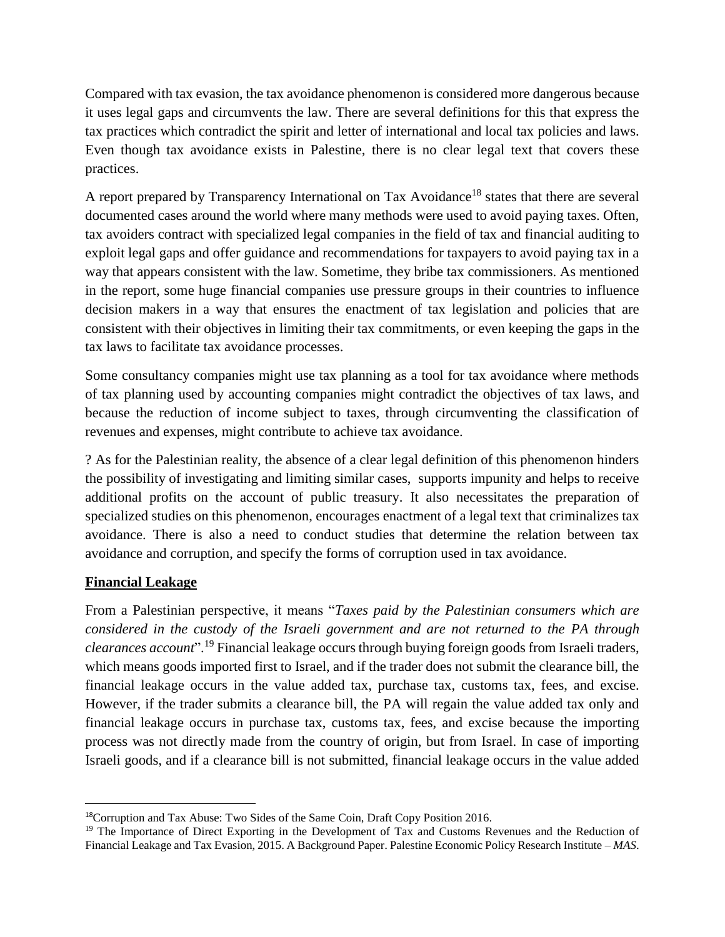Compared with tax evasion, the tax avoidance phenomenon is considered more dangerous because it uses legal gaps and circumvents the law. There are several definitions for this that express the tax practices which contradict the spirit and letter of international and local tax policies and laws. Even though tax avoidance exists in Palestine, there is no clear legal text that covers these practices.

A report prepared by Transparency International on Tax Avoidance<sup>18</sup> states that there are several documented cases around the world where many methods were used to avoid paying taxes. Often, tax avoiders contract with specialized legal companies in the field of tax and financial auditing to exploit legal gaps and offer guidance and recommendations for taxpayers to avoid paying tax in a way that appears consistent with the law. Sometime, they bribe tax commissioners. As mentioned in the report, some huge financial companies use pressure groups in their countries to influence decision makers in a way that ensures the enactment of tax legislation and policies that are consistent with their objectives in limiting their tax commitments, or even keeping the gaps in the tax laws to facilitate tax avoidance processes.

Some consultancy companies might use tax planning as a tool for tax avoidance where methods of tax planning used by accounting companies might contradict the objectives of tax laws, and because the reduction of income subject to taxes, through circumventing the classification of revenues and expenses, might contribute to achieve tax avoidance.

? As for the Palestinian reality, the absence of a clear legal definition of this phenomenon hinders the possibility of investigating and limiting similar cases, supports impunity and helps to receive additional profits on the account of public treasury. It also necessitates the preparation of specialized studies on this phenomenon, encourages enactment of a legal text that criminalizes tax avoidance. There is also a need to conduct studies that determine the relation between tax avoidance and corruption, and specify the forms of corruption used in tax avoidance.

## **Financial Leakage**

 $\overline{\phantom{a}}$ 

From a Palestinian perspective, it means "*Taxes paid by the Palestinian consumers which are considered in the custody of the Israeli government and are not returned to the PA through clearances account*". <sup>19</sup> Financial leakage occurs through buying foreign goods from Israeli traders, which means goods imported first to Israel, and if the trader does not submit the clearance bill, the financial leakage occurs in the value added tax, purchase tax, customs tax, fees, and excise. However, if the trader submits a clearance bill, the PA will regain the value added tax only and financial leakage occurs in purchase tax, customs tax, fees, and excise because the importing process was not directly made from the country of origin, but from Israel. In case of importing Israeli goods, and if a clearance bill is not submitted, financial leakage occurs in the value added

<sup>18</sup>Corruption and Tax Abuse: Two Sides of the Same Coin, Draft Copy Position 2016.

<sup>&</sup>lt;sup>19</sup> The Importance of Direct Exporting in the Development of Tax and Customs Revenues and the Reduction of Financial Leakage and Tax Evasion, 2015. A Background Paper. Palestine Economic Policy Research Institute – *MAS*.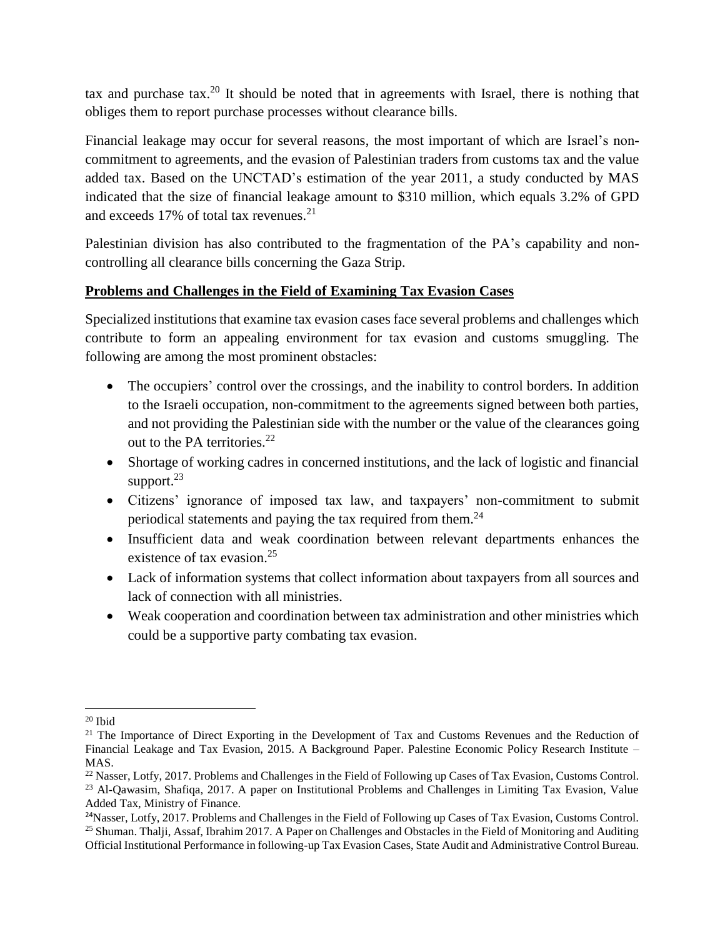tax and purchase tax.<sup>20</sup> It should be noted that in agreements with Israel, there is nothing that obliges them to report purchase processes without clearance bills.

Financial leakage may occur for several reasons, the most important of which are Israel's noncommitment to agreements, and the evasion of Palestinian traders from customs tax and the value added tax. Based on the UNCTAD's estimation of the year 2011, a study conducted by MAS indicated that the size of financial leakage amount to \$310 million, which equals 3.2% of GPD and exceeds 17% of total tax revenues. 21

Palestinian division has also contributed to the fragmentation of the PA's capability and noncontrolling all clearance bills concerning the Gaza Strip.

## **Problems and Challenges in the Field of Examining Tax Evasion Cases**

Specialized institutions that examine tax evasion cases face several problems and challenges which contribute to form an appealing environment for tax evasion and customs smuggling. The following are among the most prominent obstacles:

- The occupiers' control over the crossings, and the inability to control borders. In addition to the Israeli occupation, non-commitment to the agreements signed between both parties, and not providing the Palestinian side with the number or the value of the clearances going out to the PA territories.<sup>22</sup>
- Shortage of working cadres in concerned institutions, and the lack of logistic and financial support.<sup>23</sup>
- Citizens' ignorance of imposed tax law, and taxpayers' non-commitment to submit periodical statements and paying the tax required from them.<sup>24</sup>
- Insufficient data and weak coordination between relevant departments enhances the existence of tax evasion.<sup>25</sup>
- Lack of information systems that collect information about taxpayers from all sources and lack of connection with all ministries.
- Weak cooperation and coordination between tax administration and other ministries which could be a supportive party combating tax evasion.

 $\overline{\phantom{a}}$  $20$  Ibid

<sup>&</sup>lt;sup>21</sup> The Importance of Direct Exporting in the Development of Tax and Customs Revenues and the Reduction of Financial Leakage and Tax Evasion, 2015. A Background Paper. Palestine Economic Policy Research Institute – MAS.

<sup>&</sup>lt;sup>22</sup> Nasser, Lotfy, 2017. Problems and Challenges in the Field of Following up Cases of Tax Evasion, Customs Control. <sup>23</sup> Al-Qawasim, Shafiqa, 2017. A paper on Institutional Problems and Challenges in Limiting Tax Evasion, Value Added Tax, Ministry of Finance.

<sup>&</sup>lt;sup>24</sup>Nasser, Lotfy, 2017. Problems and Challenges in the Field of Following up Cases of Tax Evasion, Customs Control. <sup>25</sup> Shuman. Thalji, Assaf, Ibrahim 2017. A Paper on Challenges and Obstacles in the Field of Monitoring and Auditing Official Institutional Performance in following-up Tax Evasion Cases, State Audit and Administrative Control Bureau.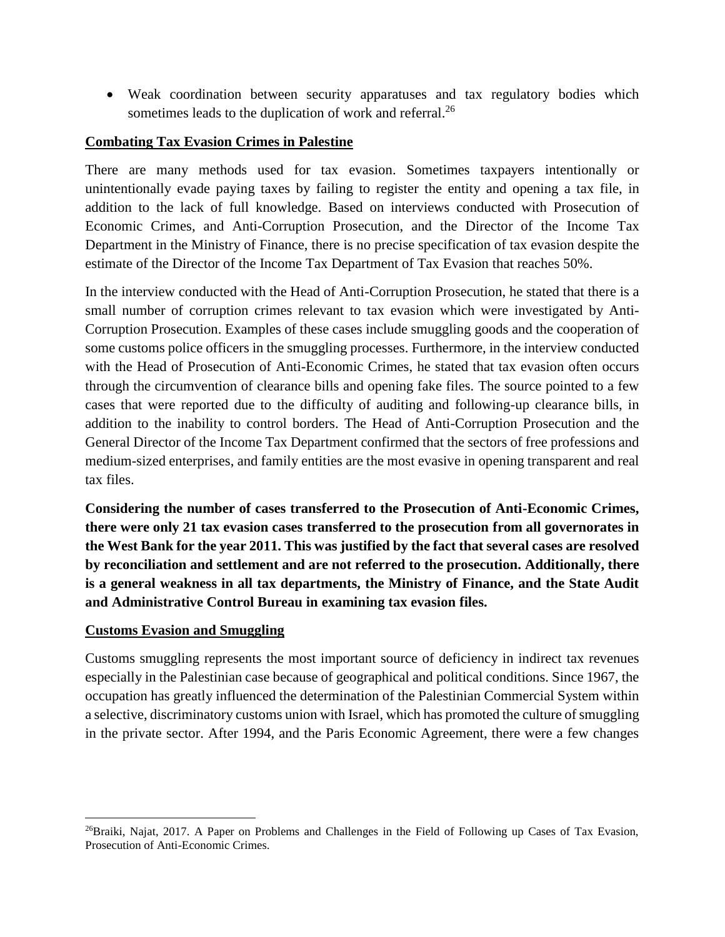• Weak coordination between security apparatuses and tax regulatory bodies which sometimes leads to the duplication of work and referral.<sup>26</sup>

#### **Combating Tax Evasion Crimes in Palestine**

There are many methods used for tax evasion. Sometimes taxpayers intentionally or unintentionally evade paying taxes by failing to register the entity and opening a tax file, in addition to the lack of full knowledge. Based on interviews conducted with Prosecution of Economic Crimes, and Anti-Corruption Prosecution, and the Director of the Income Tax Department in the Ministry of Finance, there is no precise specification of tax evasion despite the estimate of the Director of the Income Tax Department of Tax Evasion that reaches 50%.

In the interview conducted with the Head of Anti-Corruption Prosecution, he stated that there is a small number of corruption crimes relevant to tax evasion which were investigated by Anti-Corruption Prosecution. Examples of these cases include smuggling goods and the cooperation of some customs police officers in the smuggling processes. Furthermore, in the interview conducted with the Head of Prosecution of Anti-Economic Crimes, he stated that tax evasion often occurs through the circumvention of clearance bills and opening fake files. The source pointed to a few cases that were reported due to the difficulty of auditing and following-up clearance bills, in addition to the inability to control borders. The Head of Anti-Corruption Prosecution and the General Director of the Income Tax Department confirmed that the sectors of free professions and medium-sized enterprises, and family entities are the most evasive in opening transparent and real tax files.

**Considering the number of cases transferred to the Prosecution of Anti-Economic Crimes, there were only 21 tax evasion cases transferred to the prosecution from all governorates in the West Bank for the year 2011. This was justified by the fact that several cases are resolved by reconciliation and settlement and are not referred to the prosecution. Additionally, there is a general weakness in all tax departments, the Ministry of Finance, and the State Audit and Administrative Control Bureau in examining tax evasion files.** 

### **Customs Evasion and Smuggling**

 $\overline{\phantom{a}}$ 

Customs smuggling represents the most important source of deficiency in indirect tax revenues especially in the Palestinian case because of geographical and political conditions. Since 1967, the occupation has greatly influenced the determination of the Palestinian Commercial System within a selective, discriminatory customs union with Israel, which has promoted the culture of smuggling in the private sector. After 1994, and the Paris Economic Agreement, there were a few changes

<sup>&</sup>lt;sup>26</sup>Braiki, Najat, 2017. A Paper on Problems and Challenges in the Field of Following up Cases of Tax Evasion, Prosecution of Anti-Economic Crimes.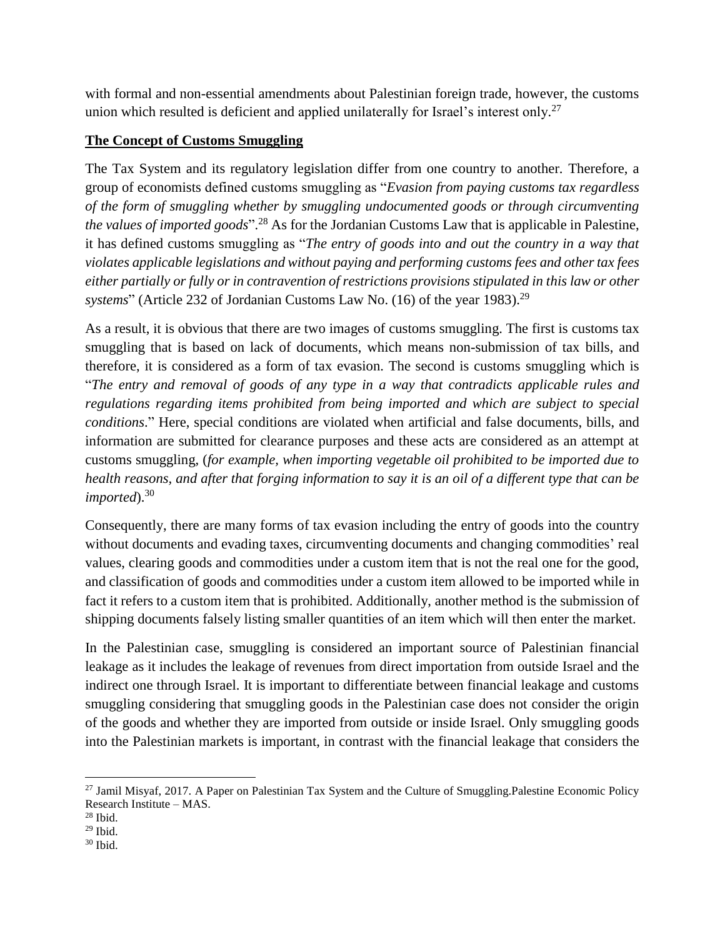with formal and non-essential amendments about Palestinian foreign trade, however, the customs union which resulted is deficient and applied unilaterally for Israel's interest only.<sup>27</sup>

## **The Concept of Customs Smuggling**

The Tax System and its regulatory legislation differ from one country to another. Therefore, a group of economists defined customs smuggling as "*Evasion from paying customs tax regardless of the form of smuggling whether by smuggling undocumented goods or through circumventing the values of imported goods*". <sup>28</sup> As for the Jordanian Customs Law that is applicable in Palestine, it has defined customs smuggling as "*The entry of goods into and out the country in a way that violates applicable legislations and without paying and performing customs fees and other tax fees either partially or fully or in contravention of restrictions provisions stipulated in this law or other*  systems" (Article 232 of Jordanian Customs Law No. (16) of the year 1983).<sup>29</sup>

As a result, it is obvious that there are two images of customs smuggling. The first is customs tax smuggling that is based on lack of documents, which means non-submission of tax bills, and therefore, it is considered as a form of tax evasion. The second is customs smuggling which is "*The entry and removal of goods of any type in a way that contradicts applicable rules and regulations regarding items prohibited from being imported and which are subject to special conditions*." Here, special conditions are violated when artificial and false documents, bills, and information are submitted for clearance purposes and these acts are considered as an attempt at customs smuggling, (*for example, when importing vegetable oil prohibited to be imported due to health reasons, and after that forging information to say it is an oil of a different type that can be imported*). 30

Consequently, there are many forms of tax evasion including the entry of goods into the country without documents and evading taxes, circumventing documents and changing commodities' real values, clearing goods and commodities under a custom item that is not the real one for the good, and classification of goods and commodities under a custom item allowed to be imported while in fact it refers to a custom item that is prohibited. Additionally, another method is the submission of shipping documents falsely listing smaller quantities of an item which will then enter the market.

In the Palestinian case, smuggling is considered an important source of Palestinian financial leakage as it includes the leakage of revenues from direct importation from outside Israel and the indirect one through Israel. It is important to differentiate between financial leakage and customs smuggling considering that smuggling goods in the Palestinian case does not consider the origin of the goods and whether they are imported from outside or inside Israel. Only smuggling goods into the Palestinian markets is important, in contrast with the financial leakage that considers the

 $\overline{a}$ <sup>27</sup> Jamil Misyaf, 2017. A Paper on Palestinian Tax System and the Culture of Smuggling.Palestine Economic Policy Research Institute – MAS.

 $28$  Ibid.

 $29$  Ibid.

 $30$  Ibid.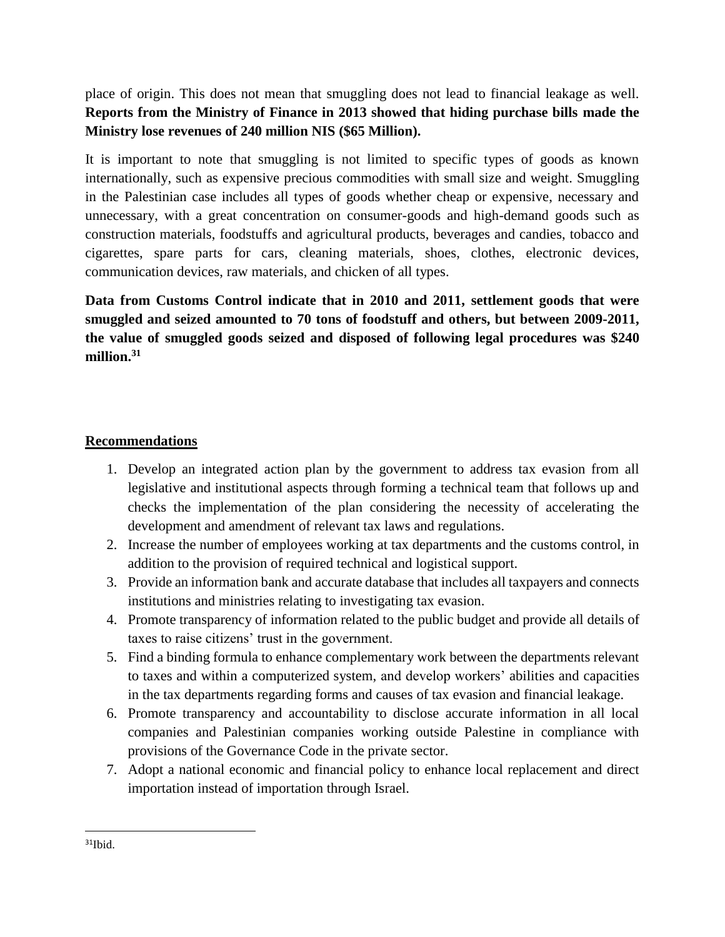place of origin. This does not mean that smuggling does not lead to financial leakage as well. **Reports from the Ministry of Finance in 2013 showed that hiding purchase bills made the Ministry lose revenues of 240 million NIS (\$65 Million).**

It is important to note that smuggling is not limited to specific types of goods as known internationally, such as expensive precious commodities with small size and weight. Smuggling in the Palestinian case includes all types of goods whether cheap or expensive, necessary and unnecessary, with a great concentration on consumer-goods and high-demand goods such as construction materials, foodstuffs and agricultural products, beverages and candies, tobacco and cigarettes, spare parts for cars, cleaning materials, shoes, clothes, electronic devices, communication devices, raw materials, and chicken of all types.

**Data from Customs Control indicate that in 2010 and 2011, settlement goods that were smuggled and seized amounted to 70 tons of foodstuff and others, but between 2009-2011, the value of smuggled goods seized and disposed of following legal procedures was \$240 million. 31**

### **Recommendations**

- 1. Develop an integrated action plan by the government to address tax evasion from all legislative and institutional aspects through forming a technical team that follows up and checks the implementation of the plan considering the necessity of accelerating the development and amendment of relevant tax laws and regulations.
- 2. Increase the number of employees working at tax departments and the customs control, in addition to the provision of required technical and logistical support.
- 3. Provide an information bank and accurate database that includes all taxpayers and connects institutions and ministries relating to investigating tax evasion.
- 4. Promote transparency of information related to the public budget and provide all details of taxes to raise citizens' trust in the government.
- 5. Find a binding formula to enhance complementary work between the departments relevant to taxes and within a computerized system, and develop workers' abilities and capacities in the tax departments regarding forms and causes of tax evasion and financial leakage.
- 6. Promote transparency and accountability to disclose accurate information in all local companies and Palestinian companies working outside Palestine in compliance with provisions of the Governance Code in the private sector.
- 7. Adopt a national economic and financial policy to enhance local replacement and direct importation instead of importation through Israel.

 $\overline{\phantom{a}}$ 

 $31$ Ibid.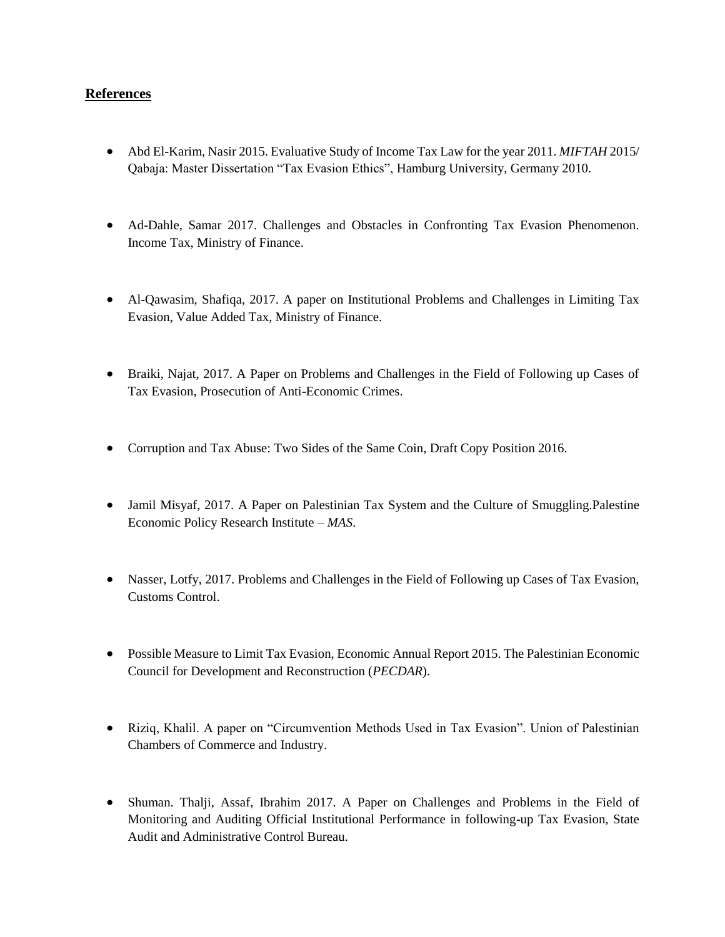#### **References**

- Abd El-Karim, Nasir 2015. Evaluative Study of Income Tax Law for the year 2011. *MIFTAH* 2015/ Qabaja: Master Dissertation "Tax Evasion Ethics", Hamburg University, Germany 2010.
- Ad-Dahle, Samar 2017. Challenges and Obstacles in Confronting Tax Evasion Phenomenon. Income Tax, Ministry of Finance.
- Al-Qawasim, Shafiqa, 2017. A paper on Institutional Problems and Challenges in Limiting Tax Evasion, Value Added Tax, Ministry of Finance.
- Braiki, Najat, 2017. A Paper on Problems and Challenges in the Field of Following up Cases of Tax Evasion, Prosecution of Anti-Economic Crimes.
- Corruption and Tax Abuse: Two Sides of the Same Coin, Draft Copy Position 2016.
- Jamil Misyaf, 2017. A Paper on Palestinian Tax System and the Culture of Smuggling. Palestine Economic Policy Research Institute – *MAS*.
- Nasser, Lotfy, 2017. Problems and Challenges in the Field of Following up Cases of Tax Evasion, Customs Control.
- Possible Measure to Limit Tax Evasion, Economic Annual Report 2015. The Palestinian Economic Council for Development and Reconstruction (*PECDAR*).
- Riziq, Khalil. A paper on "Circumvention Methods Used in Tax Evasion". Union of Palestinian Chambers of Commerce and Industry.
- Shuman. Thalji, Assaf, Ibrahim 2017. A Paper on Challenges and Problems in the Field of Monitoring and Auditing Official Institutional Performance in following-up Tax Evasion, State Audit and Administrative Control Bureau.